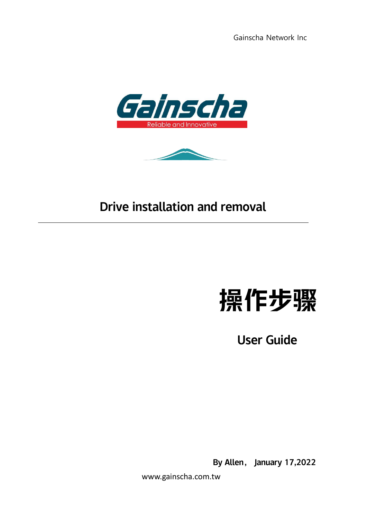Gainscha Network Inc





## Drive installation and removal

# 操作步骤

User Guide

By Allen, January 17,2022

www.gainscha.com.tw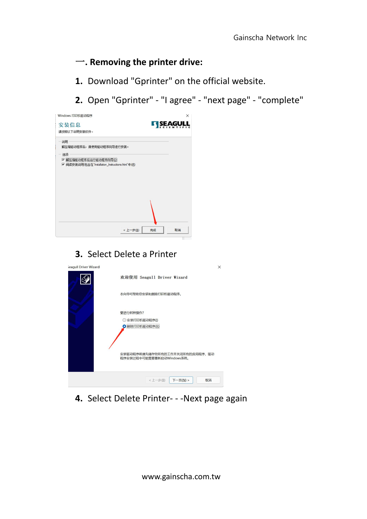### 一**. Removing the printer drive:**

- **1.** Download "Gprinter" on the official website.
- **2.** Open "Gprinter" "I agree" "next page" "complete"



### **3.** Select Delete a Printer

| seagull Driver Wizard |                                                             | $\times$ |
|-----------------------|-------------------------------------------------------------|----------|
|                       | 欢迎使用 Seagull Driver Wizard                                  |          |
|                       | 本向导可帮助您安装和删除打印机驱动程序。                                        |          |
|                       | 要讲行何种操作?                                                    |          |
|                       | 安装打印机驱动程序(1)                                                |          |
|                       | O 删除打印机驱动程序(R)                                              |          |
|                       | 安装驱动程序前请先储存您所有的工作并关闭所有的应用程序,驱动<br>程序安装过程中可能需要重新启动Windows系统。 |          |
|                       | < 上一步(B)<br>下一页(N) ><br>取消                                  |          |

**4.** Select Delete Printer- - -Next page again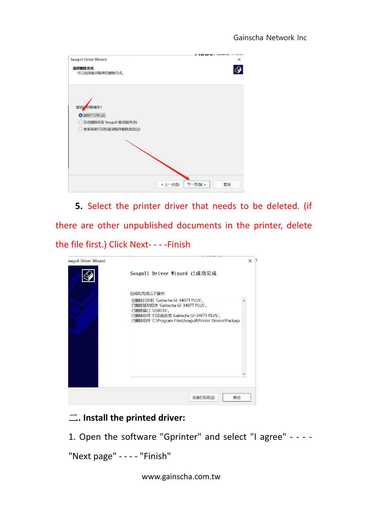| <b>Seagull Driver Wizard</b>                                            |                     | ×  |
|-------------------------------------------------------------------------|---------------------|----|
| 选择删除方式<br>可以选择驱动程序的删除方式。                                                |                     |    |
|                                                                         |                     |    |
| 何种操作?<br>要进行                                                            |                     |    |
| O 删除打印机(R)                                                              |                     |    |
| 自动删除所有 Seagull 驱动程序(A)<br>$\left( \begin{array}{c} \end{array} \right)$ |                     |    |
| 使用高级打印机驱动程序删除选项(U)                                                      |                     |    |
|                                                                         |                     |    |
|                                                                         |                     |    |
|                                                                         |                     |    |
|                                                                         |                     |    |
|                                                                         |                     |    |
|                                                                         |                     |    |
|                                                                         | <上一步(B)<br>下一页(N) > | 取消 |

5. Select the printer driver that needs to be deleted. (if there are other unpublished documents in the printer, delete the file first.) Click Next- - - -Finish

| eagull Driver Wizard |                                                                                                                                                                                               | $\times$ |  |
|----------------------|-----------------------------------------------------------------------------------------------------------------------------------------------------------------------------------------------|----------|--|
|                      | Seagull Driver Wizard 已成功完成                                                                                                                                                                   |          |  |
|                      | 已成功完成以下操作:                                                                                                                                                                                    |          |  |
|                      | 已删除打印机 'Gainscha GI-3407T PLUS'。<br>已删除驱动程序 'Gainscha GI-3407T PLUS'。<br>已删除端口 'USB016'。<br>已删除组件 '打印首选项: Gainscha GI-3407T PLUS'。<br>已删除组件 'C:\Program Files\Seagull\Printer Drivers\Package |          |  |
|                      |                                                                                                                                                                                               |          |  |
|                      | 关闭<br>安装打印机(I)                                                                                                                                                                                |          |  |

### 二**. Install the printed driver:**

1. Open the software "Gprinter" and select "I agree" - - - -

"Next page" - - - - "Finish"

www.gainscha.com.tw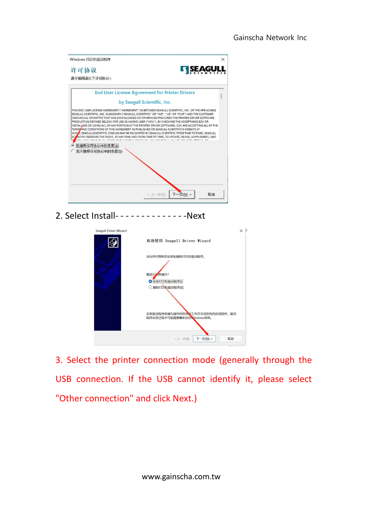| 许可协议                              | <b>KI SEAGU</b>                                                                                                                                                                                                                                                                                                                                                                                                                                                                                                                                                                                                                                                                                                  |
|-----------------------------------|------------------------------------------------------------------------------------------------------------------------------------------------------------------------------------------------------------------------------------------------------------------------------------------------------------------------------------------------------------------------------------------------------------------------------------------------------------------------------------------------------------------------------------------------------------------------------------------------------------------------------------------------------------------------------------------------------------------|
| 请仔细阅读以下许可协议。                      |                                                                                                                                                                                                                                                                                                                                                                                                                                                                                                                                                                                                                                                                                                                  |
|                                   | <b>End User License Agreement for Printer Drivers</b>                                                                                                                                                                                                                                                                                                                                                                                                                                                                                                                                                                                                                                                            |
|                                   | by Seagull Scientific, Inc.                                                                                                                                                                                                                                                                                                                                                                                                                                                                                                                                                                                                                                                                                      |
|                                   | SEAGULL SCIENTIFIC, INC. SUBSIDIARY ("SEAGULL SCIENTIFIC" OR "WE", "US" OR "OUR") AND THE CUSTOMER<br>(INDIVIDUAL OR ENTITY) THAT HAS DOWNLOADED OR OTHERWISE PROCURED THE PRINTER DRIVER SOFTWARE<br>PRODUCT (AS DEFINED BELOW) FOR USE AS AN END USER ("YOU"). BY CHECKING THE ACCEPTANCE BOX OR<br>INSTALLING OR USING ALL OR ANY PORTION OF THE PRINTER DRIVER SOFTWARE, YOU ARE ACCEPTING ALL OF THE<br>TERMS AND CONDITIONS OF THIS AGREEMENT AS PUBLISHED ON SEAGULL SCIENTIFIC'S WEBSITE AT<br>WWW.SEAGULLSCIENTIFIC.COM (AS MAY BE RELOCATED BY SEAGULL SCIENTIFIC FROM TIME TO TIME). SEAGULL<br>SCIZINTIFIC RESERVES THE RIGHT, AT ANY TIME AND FROM TIME TO TIME, TO UPDATE, REVISE, SUPPLEMENT, AND |
| 我接受许可协议中的条款(A)<br>我不接受许可协议中的条款(N) |                                                                                                                                                                                                                                                                                                                                                                                                                                                                                                                                                                                                                                                                                                                  |
|                                   |                                                                                                                                                                                                                                                                                                                                                                                                                                                                                                                                                                                                                                                                                                                  |
|                                   |                                                                                                                                                                                                                                                                                                                                                                                                                                                                                                                                                                                                                                                                                                                  |

2. Select Install- - - - - - - - - - - - - - Next



3. Select the printer connection mode (generally through the USB connection. If the USB cannot identify it, please select "Other connection" and click Next.)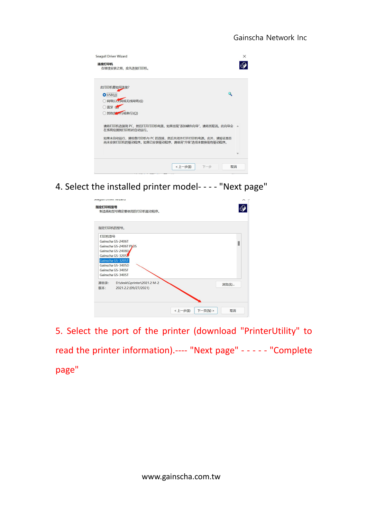| <b>Seagull Driver Wizard</b><br>连接打印机<br>在继续安装之前,应先连接打印机。                                                                                                        | $\times$ |
|------------------------------------------------------------------------------------------------------------------------------------------------------------------|----------|
| 此打印机要如何连接?<br>O(USB(U))<br>网络(以太网或无线网络)(E)<br>○蓝牙(日<br>○ 其他(她) 行或串行)(O)                                                                                          |          |
| 请将打印机连接到 PC,然后打开打印机电源。如果出现"添加硬件向导",请将其取消。此向导会 →<br>在系统检测到打印机时自动运行。<br>如果未自动运行,请检查打印机与 PC 的连接,然后关闭并打开打印机电源。此外,请验证是否<br>尚未安装打印机的驱动程序。如果已安装驱动程序,请使用"升级"选项来替换现有驱动程序。 |          |
| < 上一步(B)<br>下一步<br>取消                                                                                                                                            |          |

4. Select the installed printer model- - - - "Next page"



5. Select the port of the printer (download "PrinterUtility" to read the printer information).---- "Next page" - - -- - "Complete page"